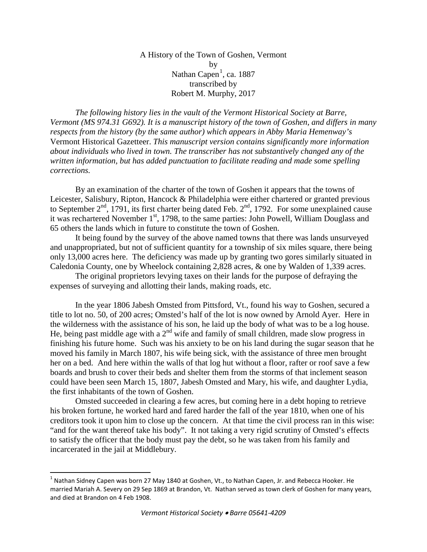A History of the Town of Goshen, Vermont by Nathan Capen<sup>[1](#page-0-0)</sup>, ca. 1887 transcribed by Robert M. Murphy, 2017

*The following history lies in the vault of the Vermont Historical Society at Barre, Vermont (MS 974.31 G692). It is a manuscript history of the town of Goshen, and differs in many respects from the history (by the same author) which appears in Abby Maria Hemenway's*  Vermont Historical Gazetteer. *This manuscript version contains significantly more information about individuals who lived in town. The transcriber has not substantively changed any of the written information, but has added punctuation to facilitate reading and made some spelling corrections.*

By an examination of the charter of the town of Goshen it appears that the towns of Leicester, Salisbury, Ripton, Hancock & Philadelphia were either chartered or granted previous to September  $2<sup>nd</sup>$ , 1791, its first charter being dated Feb.  $2<sup>nd</sup>$ , 1792. For some unexplained cause it was rechartered November 1<sup>st</sup>, 1798, to the same parties: John Powell, William Douglass and 65 others the lands which in future to constitute the town of Goshen.

It being found by the survey of the above named towns that there was lands unsurveyed and unappropriated, but not of sufficient quantity for a township of six miles square, there being only 13,000 acres here. The deficiency was made up by granting two gores similarly situated in Caledonia County, one by Wheelock containing 2,828 acres, & one by Walden of 1,339 acres.

The original proprietors levying taxes on their lands for the purpose of defraying the expenses of surveying and allotting their lands, making roads, etc.

In the year 1806 Jabesh Omsted from Pittsford, Vt., found his way to Goshen, secured a title to lot no. 50, of 200 acres; Omsted's half of the lot is now owned by Arnold Ayer. Here in the wilderness with the assistance of his son, he laid up the body of what was to be a log house. He, being past middle age with a  $2<sup>nd</sup>$  wife and family of small children, made slow progress in finishing his future home. Such was his anxiety to be on his land during the sugar season that he moved his family in March 1807, his wife being sick, with the assistance of three men brought her on a bed. And here within the walls of that log hut without a floor, rafter or roof save a few boards and brush to cover their beds and shelter them from the storms of that inclement season could have been seen March 15, 1807, Jabesh Omsted and Mary, his wife, and daughter Lydia, the first inhabitants of the town of Goshen.

Omsted succeeded in clearing a few acres, but coming here in a debt hoping to retrieve his broken fortune, he worked hard and fared harder the fall of the year 1810, when one of his creditors took it upon him to close up the concern. At that time the civil process ran in this wise: "and for the want thereof take his body". It not taking a very rigid scrutiny of Omsted's effects to satisfy the officer that the body must pay the debt, so he was taken from his family and incarcerated in the jail at Middlebury.

<span id="page-0-0"></span> $1$  Nathan Sidney Capen was born 27 May 1840 at Goshen, Vt., to Nathan Capen, Jr. and Rebecca Hooker. He married Mariah A. Severy on 29 Sep 1869 at Brandon, Vt. Nathan served as town clerk of Goshen for many years, and died at Brandon on 4 Feb 1908.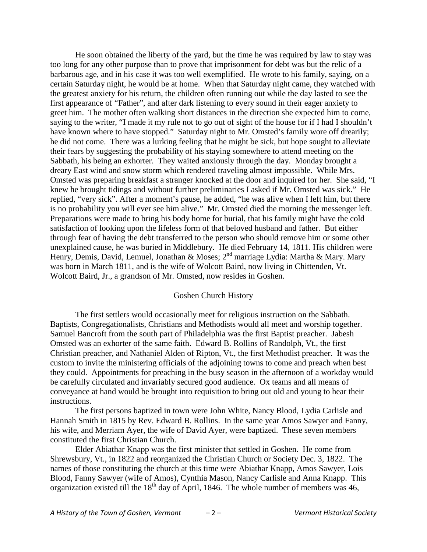He soon obtained the liberty of the yard, but the time he was required by law to stay was too long for any other purpose than to prove that imprisonment for debt was but the relic of a barbarous age, and in his case it was too well exemplified. He wrote to his family, saying, on a certain Saturday night, he would be at home. When that Saturday night came, they watched with the greatest anxiety for his return, the children often running out while the day lasted to see the first appearance of "Father", and after dark listening to every sound in their eager anxiety to greet him. The mother often walking short distances in the direction she expected him to come, saying to the writer, "I made it my rule not to go out of sight of the house for if I had I shouldn't have known where to have stopped." Saturday night to Mr. Omsted's family wore off drearily; he did not come. There was a lurking feeling that he might be sick, but hope sought to alleviate their fears by suggesting the probability of his staying somewhere to attend meeting on the Sabbath, his being an exhorter. They waited anxiously through the day. Monday brought a dreary East wind and snow storm which rendered traveling almost impossible. While Mrs. Omsted was preparing breakfast a stranger knocked at the door and inquired for her. She said, "I knew he brought tidings and without further preliminaries I asked if Mr. Omsted was sick." He replied, "very sick". After a moment's pause, he added, "he was alive when I left him, but there is no probability you will ever see him alive." Mr. Omsted died the morning the messenger left. Preparations were made to bring his body home for burial, that his family might have the cold satisfaction of looking upon the lifeless form of that beloved husband and father. But either through fear of having the debt transferred to the person who should remove him or some other unexplained cause, he was buried in Middlebury. He died February 14, 1811. His children were Henry, Demis, David, Lemuel, Jonathan & Moses; 2<sup>nd</sup> marriage Lydia: Martha & Mary. Mary was born in March 1811, and is the wife of Wolcott Baird, now living in Chittenden, Vt. Wolcott Baird, Jr., a grandson of Mr. Omsted, now resides in Goshen.

## Goshen Church History

The first settlers would occasionally meet for religious instruction on the Sabbath. Baptists, Congregationalists, Christians and Methodists would all meet and worship together. Samuel Bancroft from the south part of Philadelphia was the first Baptist preacher. Jabesh Omsted was an exhorter of the same faith. Edward B. Rollins of Randolph, Vt., the first Christian preacher, and Nathaniel Alden of Ripton, Vt., the first Methodist preacher. It was the custom to invite the ministering officials of the adjoining towns to come and preach when best they could. Appointments for preaching in the busy season in the afternoon of a workday would be carefully circulated and invariably secured good audience. Ox teams and all means of conveyance at hand would be brought into requisition to bring out old and young to hear their instructions.

The first persons baptized in town were John White, Nancy Blood, Lydia Carlisle and Hannah Smith in 1815 by Rev. Edward B. Rollins. In the same year Amos Sawyer and Fanny, his wife, and Merriam Ayer, the wife of David Ayer, were baptized. These seven members constituted the first Christian Church.

Elder Abiathar Knapp was the first minister that settled in Goshen. He come from Shrewsbury, Vt., in 1822 and reorganized the Christian Church or Society Dec. 3, 1822. The names of those constituting the church at this time were Abiathar Knapp, Amos Sawyer, Lois Blood, Fanny Sawyer (wife of Amos), Cynthia Mason, Nancy Carlisle and Anna Knapp. This organization existed till the  $18<sup>th</sup>$  day of April, 1846. The whole number of members was 46,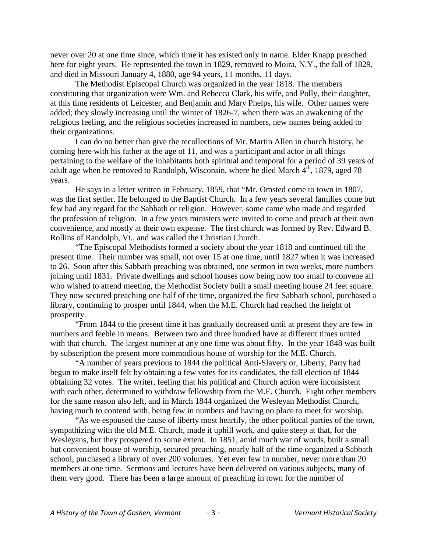never over 20 at one time since, which time it has existed only in name. Elder Knapp preached here for eight years. He represented the town in 1829, removed to Moira, N.Y., the fall of 1829, and died in Missouri January 4, 1880, age 94 years, 11 months, 11 days.

The Methodist Episcopal Church was organized in the year 1818. The members constituting that organization were Wm. and Rebecca Clark, his wife, and Polly, their daughter, at this time residents of Leicester, and Benjamin and Mary Phelps, his wife. Other names were added; they slowly increasing until the winter of 1826-7, when there was an awakening of the religious feeling, and the religious societies increased in numbers, new names being added to their organizations.

I can do no better than give the recollections of Mr. Martin Allen in church history, he coming here with his father at the age of 11, and was a participant and actor in all things pertaining to the welfare of the inhabitants both spiritual and temporal for a period of 39 years of adult age when he removed to Randolph, Wisconsin, where he died March  $4<sup>th</sup>$ , 1879, aged 78 years.

He says in a letter written in February, 1859, that "Mr. Omsted come to town in 1807, was the first settler. He belonged to the Baptist Church. In a few years several families come but few had any regard for the Sabbath or religion. However, some came who made and regarded the profession of religion. In a few years ministers were invited to come and preach at their own convenience, and mostly at their own expense. The first church was formed by Rev. Edward B. Rollins of Randolph, Vt., and was called the Christian Church.

"The Episcopal Methodists formed a society about the year 1818 and continued till the present time. Their number was small, not over 15 at one time, until 1827 when it was increased to 26. Soon after this Sabbath preaching was obtained, one sermon in two weeks, more numbers joining until 1831. Private dwellings and school houses now being now too small to convene all who wished to attend meeting, the Methodist Society built a small meeting house 24 feet square. They now secured preaching one half of the time, organized the first Sabbath school, purchased a library, continuing to prosper until 1844, when the M.E. Church had reached the height of prosperity.

"From 1844 to the present time it has gradually decreased until at present they are few in numbers and feeble in means. Between two and three hundred have at different times united with that church. The largest number at any one time was about fifty. In the year 1848 was built by subscription the present more commodious house of worship for the M.E. Church.

"A number of years previous to 1844 the political Anti-Slavery or, Liberty, Party had begun to make itself felt by obtaining a few votes for its candidates, the fall election of 1844 obtaining 32 votes. The writer, feeling that his political and Church action were inconsistent with each other, determined to withdraw fellowship from the M.E. Church. Eight other members for the same reason also left, and in March 1844 organized the Wesleyan Methodist Church, having much to contend with, being few in numbers and having no place to meet for worship.

"As we espoused the cause of liberty most heartily, the other political parties of the town, sympathizing with the old M.E. Church, made it uphill work, and quite steep at that, for the Wesleyans, but they prospered to some extent. In 1851, amid much war of words, built a small but convenient house of worship, secured preaching, nearly half of the time organized a Sabbath school, purchased a library of over 200 volumes. Yet ever few in number, never more than 20 members at one time. Sermons and lectures have been delivered on various subjects, many of them very good. There has been a large amount of preaching in town for the number of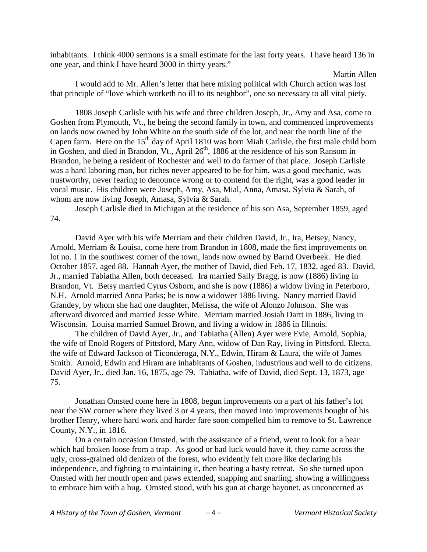inhabitants. I think 4000 sermons is a small estimate for the last forty years. I have heard 136 in one year, and think I have heard 3000 in thirty years."

I would add to Mr. Allen's letter that here mixing political with Church action was lost that principle of "love which worketh no ill to its neighbor", one so necessary to all vital piety.

1808 Joseph Carlisle with his wife and three children Joseph, Jr., Amy and Asa, come to Goshen from Plymouth, Vt., he being the second family in town, and commenced improvements on lands now owned by John White on the south side of the lot, and near the north line of the Capen farm. Here on the  $15<sup>th</sup>$  day of April 1810 was born Miah Carlisle, the first male child born in Goshen, and died in Brandon, Vt., April  $26<sup>th</sup>$ , 1886 at the residence of his son Ransom in Brandon, he being a resident of Rochester and well to do farmer of that place. Joseph Carlisle was a hard laboring man, but riches never appeared to be for him, was a good mechanic, was trustworthy, never fearing to denounce wrong or to contend for the right, was a good leader in vocal music. His children were Joseph, Amy, Asa, Mial, Anna, Amasa, Sylvia & Sarah, of whom are now living Joseph, Amasa, Sylvia & Sarah.

Joseph Carlisle died in Michigan at the residence of his son Asa, September 1859, aged 74.

David Ayer with his wife Merriam and their children David, Jr., Ira, Betsey, Nancy, Arnold, Merriam & Louisa, come here from Brandon in 1808, made the first improvements on lot no. 1 in the southwest corner of the town, lands now owned by Barnd Overbeek. He died October 1857, aged 88. Hannah Ayer, the mother of David, died Feb. 17, 1832, aged 83. David, Jr., married Tabiatha Allen, both deceased. Ira married Sally Bragg, is now (1886) living in Brandon, Vt. Betsy married Cyrus Osborn, and she is now (1886) a widow living in Peterboro, N.H. Arnold married Anna Parks; he is now a widower 1886 living. Nancy married David Grandey, by whom she had one daughter, Melissa, the wife of Alonzo Johnson. She was afterward divorced and married Jesse White. Merriam married Josiah Dartt in 1886, living in Wisconsin. Louisa married Samuel Brown, and living a widow in 1886 in Illinois.

The children of David Ayer, Jr., and Tabiatha (Allen) Ayer were Evie, Arnold, Sophia, the wife of Enold Rogers of Pittsford, Mary Ann, widow of Dan Ray, living in Pittsford, Electa, the wife of Edward Jackson of Ticonderoga, N.Y., Edwin, Hiram & Laura, the wife of James Smith. Arnold, Edwin and Hiram are inhabitants of Goshen, industrious and well to do citizens. David Ayer, Jr., died Jan. 16, 1875, age 79. Tabiatha, wife of David, died Sept. 13, 1873, age 75.

Jonathan Omsted come here in 1808, begun improvements on a part of his father's lot near the SW corner where they lived 3 or 4 years, then moved into improvements bought of his brother Henry, where hard work and harder fare soon compelled him to remove to St. Lawrence County, N.Y., in 1816.

On a certain occasion Omsted, with the assistance of a friend, went to look for a bear which had broken loose from a trap. As good or bad luck would have it, they came across the ugly, cross-grained old denizen of the forest, who evidently felt more like declaring his independence, and fighting to maintaining it, then beating a hasty retreat. So she turned upon Omsted with her mouth open and paws extended, snapping and snarling, showing a willingness to embrace him with a hug. Omsted stood, with his gun at charge bayonet, as unconcerned as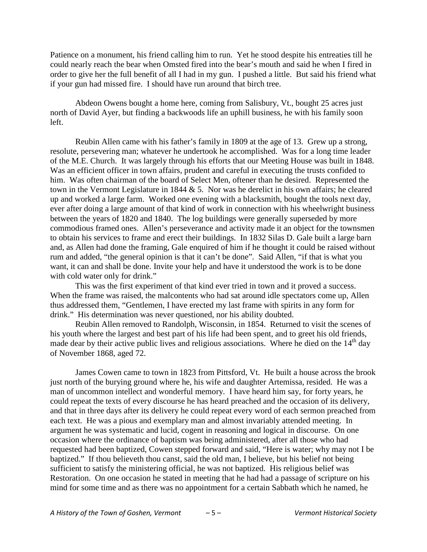Patience on a monument, his friend calling him to run. Yet he stood despite his entreaties till he could nearly reach the bear when Omsted fired into the bear's mouth and said he when I fired in order to give her the full benefit of all I had in my gun. I pushed a little. But said his friend what if your gun had missed fire. I should have run around that birch tree.

Abdeon Owens bought a home here, coming from Salisbury, Vt., bought 25 acres just north of David Ayer, but finding a backwoods life an uphill business, he with his family soon left.

Reubin Allen came with his father's family in 1809 at the age of 13. Grew up a strong, resolute, persevering man; whatever he undertook he accomplished. Was for a long time leader of the M.E. Church. It was largely through his efforts that our Meeting House was built in 1848. Was an efficient officer in town affairs, prudent and careful in executing the trusts confided to him. Was often chairman of the board of Select Men, oftener than he desired. Represented the town in the Vermont Legislature in 1844 & 5. Nor was he derelict in his own affairs; he cleared up and worked a large farm. Worked one evening with a blacksmith, bought the tools next day, ever after doing a large amount of that kind of work in connection with his wheelwright business between the years of 1820 and 1840. The log buildings were generally superseded by more commodious framed ones. Allen's perseverance and activity made it an object for the townsmen to obtain his services to frame and erect their buildings. In 1832 Silas D. Gale built a large barn and, as Allen had done the framing, Gale enquired of him if he thought it could be raised without rum and added, "the general opinion is that it can't be done". Said Allen, "if that is what you want, it can and shall be done. Invite your help and have it understood the work is to be done with cold water only for drink."

This was the first experiment of that kind ever tried in town and it proved a success. When the frame was raised, the malcontents who had sat around idle spectators come up, Allen thus addressed them, "Gentlemen, I have erected my last frame with spirits in any form for drink." His determination was never questioned, nor his ability doubted.

Reubin Allen removed to Randolph, Wisconsin, in 1854. Returned to visit the scenes of his youth where the largest and best part of his life had been spent, and to greet his old friends, made dear by their active public lives and religious associations. Where he died on the  $14<sup>th</sup>$  day of November 1868, aged 72.

James Cowen came to town in 1823 from Pittsford, Vt. He built a house across the brook just north of the burying ground where he, his wife and daughter Artemissa, resided. He was a man of uncommon intellect and wonderful memory. I have heard him say, for forty years, he could repeat the texts of every discourse he has heard preached and the occasion of its delivery, and that in three days after its delivery he could repeat every word of each sermon preached from each text. He was a pious and exemplary man and almost invariably attended meeting. In argument he was systematic and lucid, cogent in reasoning and logical in discourse. On one occasion where the ordinance of baptism was being administered, after all those who had requested had been baptized, Cowen stepped forward and said, "Here is water; why may not I be baptized." If thou believeth thou canst, said the old man, I believe, but his belief not being sufficient to satisfy the ministering official, he was not baptized. His religious belief was Restoration. On one occasion he stated in meeting that he had had a passage of scripture on his mind for some time and as there was no appointment for a certain Sabbath which he named, he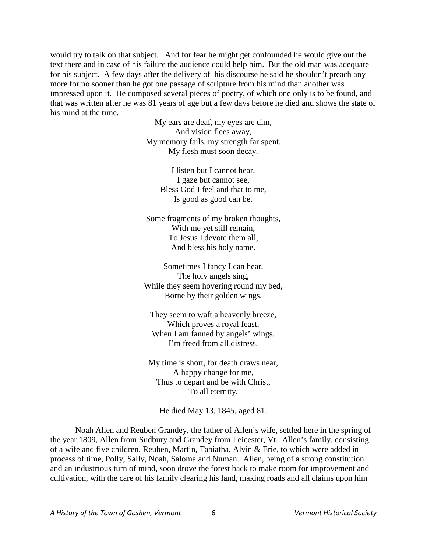would try to talk on that subject. And for fear he might get confounded he would give out the text there and in case of his failure the audience could help him. But the old man was adequate for his subject. A few days after the delivery of his discourse he said he shouldn't preach any more for no sooner than he got one passage of scripture from his mind than another was impressed upon it. He composed several pieces of poetry, of which one only is to be found, and that was written after he was 81 years of age but a few days before he died and shows the state of his mind at the time.

> My ears are deaf, my eyes are dim, And vision flees away, My memory fails, my strength far spent, My flesh must soon decay.

> > I listen but I cannot hear, I gaze but cannot see, Bless God I feel and that to me, Is good as good can be.

Some fragments of my broken thoughts, With me yet still remain, To Jesus I devote them all, And bless his holy name.

Sometimes I fancy I can hear, The holy angels sing, While they seem hovering round my bed, Borne by their golden wings.

They seem to waft a heavenly breeze, Which proves a royal feast, When I am fanned by angels' wings, I'm freed from all distress.

My time is short, for death draws near, A happy change for me, Thus to depart and be with Christ, To all eternity.

He died May 13, 1845, aged 81.

Noah Allen and Reuben Grandey, the father of Allen's wife, settled here in the spring of the year 1809, Allen from Sudbury and Grandey from Leicester, Vt. Allen's family, consisting of a wife and five children, Reuben, Martin, Tabiatha, Alvin & Erie, to which were added in process of time, Polly, Sally, Noah, Saloma and Numan. Allen, being of a strong constitution and an industrious turn of mind, soon drove the forest back to make room for improvement and cultivation, with the care of his family clearing his land, making roads and all claims upon him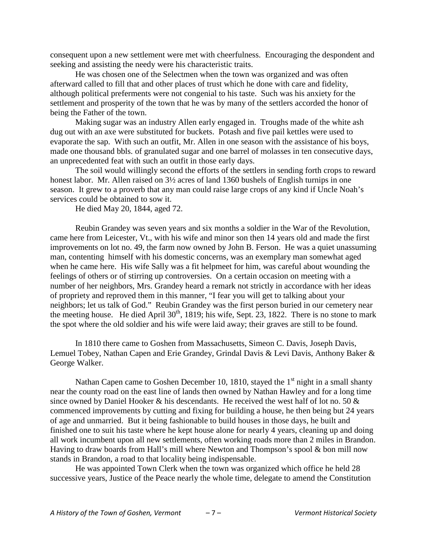consequent upon a new settlement were met with cheerfulness. Encouraging the despondent and seeking and assisting the needy were his characteristic traits.

He was chosen one of the Selectmen when the town was organized and was often afterward called to fill that and other places of trust which he done with care and fidelity, although political preferments were not congenial to his taste. Such was his anxiety for the settlement and prosperity of the town that he was by many of the settlers accorded the honor of being the Father of the town.

Making sugar was an industry Allen early engaged in. Troughs made of the white ash dug out with an axe were substituted for buckets. Potash and five pail kettles were used to evaporate the sap. With such an outfit, Mr. Allen in one season with the assistance of his boys, made one thousand bbls. of granulated sugar and one barrel of molasses in ten consecutive days, an unprecedented feat with such an outfit in those early days.

The soil would willingly second the efforts of the settlers in sending forth crops to reward honest labor. Mr. Allen raised on  $3\frac{1}{2}$  acres of land 1360 bushels of English turnips in one season. It grew to a proverb that any man could raise large crops of any kind if Uncle Noah's services could be obtained to sow it.

He died May 20, 1844, aged 72.

Reubin Grandey was seven years and six months a soldier in the War of the Revolution, came here from Leicester, Vt., with his wife and minor son then 14 years old and made the first improvements on lot no. 49, the farm now owned by John B. Ferson. He was a quiet unassuming man, contenting himself with his domestic concerns, was an exemplary man somewhat aged when he came here. His wife Sally was a fit helpmeet for him, was careful about wounding the feelings of others or of stirring up controversies. On a certain occasion on meeting with a number of her neighbors, Mrs. Grandey heard a remark not strictly in accordance with her ideas of propriety and reproved them in this manner, "I fear you will get to talking about your neighbors; let us talk of God." Reubin Grandey was the first person buried in our cemetery near the meeting house. He died April  $30<sup>th</sup>$ , 1819; his wife, Sept. 23, 1822. There is no stone to mark the spot where the old soldier and his wife were laid away; their graves are still to be found.

In 1810 there came to Goshen from Massachusetts, Simeon C. Davis, Joseph Davis, Lemuel Tobey, Nathan Capen and Erie Grandey, Grindal Davis & Levi Davis, Anthony Baker & George Walker.

Nathan Capen came to Goshen December 10, 1810, stayed the  $1<sup>st</sup>$  night in a small shanty near the county road on the east line of lands then owned by Nathan Hawley and for a long time since owned by Daniel Hooker & his descendants. He received the west half of lot no. 50 & commenced improvements by cutting and fixing for building a house, he then being but 24 years of age and unmarried. But it being fashionable to build houses in those days, he built and finished one to suit his taste where he kept house alone for nearly 4 years, cleaning up and doing all work incumbent upon all new settlements, often working roads more than 2 miles in Brandon. Having to draw boards from Hall's mill where Newton and Thompson's spool & bon mill now stands in Brandon, a road to that locality being indispensable.

He was appointed Town Clerk when the town was organized which office he held 28 successive years, Justice of the Peace nearly the whole time, delegate to amend the Constitution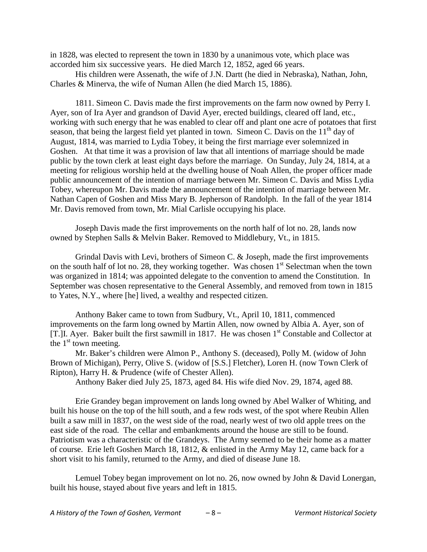in 1828, was elected to represent the town in 1830 by a unanimous vote, which place was accorded him six successive years. He died March 12, 1852, aged 66 years.

His children were Assenath, the wife of J.N. Dartt (he died in Nebraska), Nathan, John, Charles & Minerva, the wife of Numan Allen (he died March 15, 1886).

1811. Simeon C. Davis made the first improvements on the farm now owned by Perry I. Ayer, son of Ira Ayer and grandson of David Ayer, erected buildings, cleared off land, etc., working with such energy that he was enabled to clear off and plant one acre of potatoes that first season, that being the largest field yet planted in town. Simeon C. Davis on the  $11<sup>th</sup>$  day of August, 1814, was married to Lydia Tobey, it being the first marriage ever solemnized in Goshen. At that time it was a provision of law that all intentions of marriage should be made public by the town clerk at least eight days before the marriage. On Sunday, July 24, 1814, at a meeting for religious worship held at the dwelling house of Noah Allen, the proper officer made public announcement of the intention of marriage between Mr. Simeon C. Davis and Miss Lydia Tobey, whereupon Mr. Davis made the announcement of the intention of marriage between Mr. Nathan Capen of Goshen and Miss Mary B. Jepherson of Randolph. In the fall of the year 1814 Mr. Davis removed from town, Mr. Mial Carlisle occupying his place.

Joseph Davis made the first improvements on the north half of lot no. 28, lands now owned by Stephen Salls & Melvin Baker. Removed to Middlebury, Vt., in 1815.

Grindal Davis with Levi, brothers of Simeon C. & Joseph, made the first improvements on the south half of lot no. 28, they working together. Was chosen  $1<sup>st</sup>$  Selectman when the town was organized in 1814; was appointed delegate to the convention to amend the Constitution. In September was chosen representative to the General Assembly, and removed from town in 1815 to Yates, N.Y., where [he] lived, a wealthy and respected citizen.

Anthony Baker came to town from Sudbury, Vt., April 10, 1811, commenced improvements on the farm long owned by Martin Allen, now owned by Albia A. Ayer, son of [T.] I. Ayer. Baker built the first sawmill in 1817. He was chosen  $1<sup>st</sup>$  Constable and Collector at the  $1<sup>st</sup>$  town meeting.

Mr. Baker's children were Almon P., Anthony S. (deceased), Polly M. (widow of John Brown of Michigan), Perry, Olive S. (widow of [S.S.] Fletcher), Loren H. (now Town Clerk of Ripton), Harry H. & Prudence (wife of Chester Allen).

Anthony Baker died July 25, 1873, aged 84. His wife died Nov. 29, 1874, aged 88.

Erie Grandey began improvement on lands long owned by Abel Walker of Whiting, and built his house on the top of the hill south, and a few rods west, of the spot where Reubin Allen built a saw mill in 1837, on the west side of the road, nearly west of two old apple trees on the east side of the road. The cellar and embankments around the house are still to be found. Patriotism was a characteristic of the Grandeys. The Army seemed to be their home as a matter of course. Erie left Goshen March 18, 1812, & enlisted in the Army May 12, came back for a short visit to his family, returned to the Army, and died of disease June 18.

Lemuel Tobey began improvement on lot no. 26, now owned by John & David Lonergan, built his house, stayed about five years and left in 1815.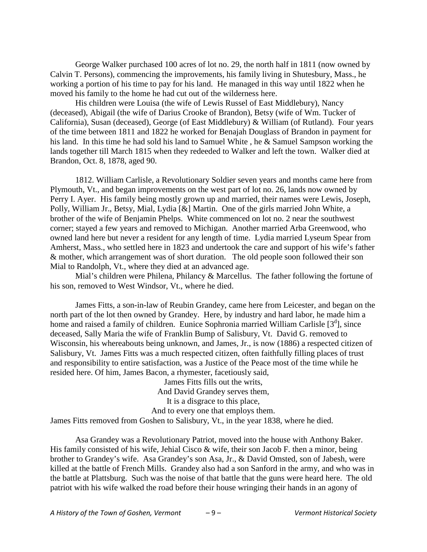George Walker purchased 100 acres of lot no. 29, the north half in 1811 (now owned by Calvin T. Persons), commencing the improvements, his family living in Shutesbury, Mass., he working a portion of his time to pay for his land. He managed in this way until 1822 when he moved his family to the home he had cut out of the wilderness here.

His children were Louisa (the wife of Lewis Russel of East Middlebury), Nancy (deceased), Abigail (the wife of Darius Crooke of Brandon), Betsy (wife of Wm. Tucker of California), Susan (deceased), George (of East Middlebury) & William (of Rutland). Four years of the time between 1811 and 1822 he worked for Benajah Douglass of Brandon in payment for his land. In this time he had sold his land to Samuel White , he & Samuel Sampson working the lands together till March 1815 when they redeeded to Walker and left the town. Walker died at Brandon, Oct. 8, 1878, aged 90.

1812. William Carlisle, a Revolutionary Soldier seven years and months came here from Plymouth, Vt., and began improvements on the west part of lot no. 26, lands now owned by Perry I. Ayer. His family being mostly grown up and married, their names were Lewis, Joseph, Polly, William Jr., Betsy, Mial, Lydia [&] Martin. One of the girls married John White, a brother of the wife of Benjamin Phelps. White commenced on lot no. 2 near the southwest corner; stayed a few years and removed to Michigan. Another married Arba Greenwood, who owned land here but never a resident for any length of time. Lydia married Lyseum Spear from Amherst, Mass., who settled here in 1823 and undertook the care and support of his wife's father & mother, which arrangement was of short duration. The old people soon followed their son Mial to Randolph, Vt., where they died at an advanced age.

Mial's children were Philena, Philancy  $&$  Marcellus. The father following the fortune of his son, removed to West Windsor, Vt., where he died.

James Fitts, a son-in-law of Reubin Grandey, came here from Leicester, and began on the north part of the lot then owned by Grandey. Here, by industry and hard labor, he made him a home and raised a family of children. Eunice Sophronia married William Carlisle [3<sup>d</sup>], since deceased, Sally Maria the wife of Franklin Bump of Salisbury, Vt. David G. removed to Wisconsin, his whereabouts being unknown, and James, Jr., is now (1886) a respected citizen of Salisbury, Vt. James Fitts was a much respected citizen, often faithfully filling places of trust and responsibility to entire satisfaction, was a Justice of the Peace most of the time while he resided here. Of him, James Bacon, a rhymester, facetiously said,

> James Fitts fills out the writs, And David Grandey serves them, It is a disgrace to this place, And to every one that employs them.

James Fitts removed from Goshen to Salisbury, Vt., in the year 1838, where he died.

Asa Grandey was a Revolutionary Patriot, moved into the house with Anthony Baker. His family consisted of his wife, Jehial Cisco & wife, their son Jacob F. then a minor, being brother to Grandey's wife. Asa Grandey's son Asa, Jr., & David Omsted, son of Jabesh, were killed at the battle of French Mills. Grandey also had a son Sanford in the army, and who was in the battle at Plattsburg. Such was the noise of that battle that the guns were heard here. The old patriot with his wife walked the road before their house wringing their hands in an agony of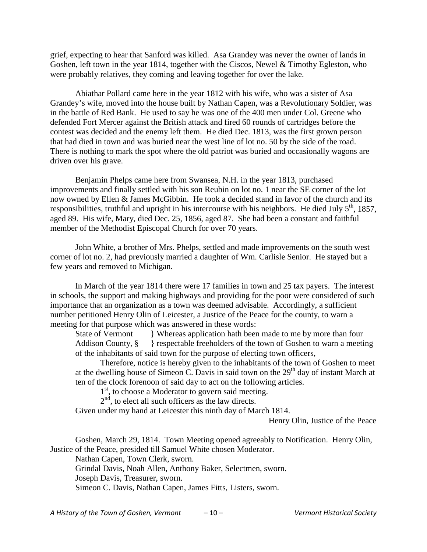grief, expecting to hear that Sanford was killed. Asa Grandey was never the owner of lands in Goshen, left town in the year 1814, together with the Ciscos, Newel & Timothy Egleston, who were probably relatives, they coming and leaving together for over the lake.

Abiathar Pollard came here in the year 1812 with his wife, who was a sister of Asa Grandey's wife, moved into the house built by Nathan Capen, was a Revolutionary Soldier, was in the battle of Red Bank. He used to say he was one of the 400 men under Col. Greene who defended Fort Mercer against the British attack and fired 60 rounds of cartridges before the contest was decided and the enemy left them. He died Dec. 1813, was the first grown person that had died in town and was buried near the west line of lot no. 50 by the side of the road. There is nothing to mark the spot where the old patriot was buried and occasionally wagons are driven over his grave.

Benjamin Phelps came here from Swansea, N.H. in the year 1813, purchased improvements and finally settled with his son Reubin on lot no. 1 near the SE corner of the lot now owned by Ellen & James McGibbin. He took a decided stand in favor of the church and its responsibilities, truthful and upright in his intercourse with his neighbors. He died July  $5<sup>th</sup>$ , 1857, aged 89. His wife, Mary, died Dec. 25, 1856, aged 87. She had been a constant and faithful member of the Methodist Episcopal Church for over 70 years.

John White, a brother of Mrs. Phelps, settled and made improvements on the south west corner of lot no. 2, had previously married a daughter of Wm. Carlisle Senior. He stayed but a few years and removed to Michigan.

In March of the year 1814 there were 17 families in town and 25 tax payers. The interest in schools, the support and making highways and providing for the poor were considered of such importance that an organization as a town was deemed advisable. Accordingly, a sufficient number petitioned Henry Olin of Leicester, a Justice of the Peace for the county, to warn a meeting for that purpose which was answered in these words:

State of Vermont Whereas application hath been made to me by more than four Addison County,  $\S$  } respectable freeholders of the town of Goshen to warn a meeting of the inhabitants of said town for the purpose of electing town officers,

Therefore, notice is hereby given to the inhabitants of the town of Goshen to meet at the dwelling house of Simeon C. Davis in said town on the 29<sup>th</sup> day of instant March at ten of the clock forenoon of said day to act on the following articles.

1<sup>st</sup>, to choose a Moderator to govern said meeting.

 $2<sup>nd</sup>$ , to elect all such officers as the law directs.

Given under my hand at Leicester this ninth day of March 1814.

Henry Olin, Justice of the Peace

Goshen, March 29, 1814. Town Meeting opened agreeably to Notification. Henry Olin, Justice of the Peace, presided till Samuel White chosen Moderator.

Nathan Capen, Town Clerk, sworn. Grindal Davis, Noah Allen, Anthony Baker, Selectmen, sworn. Joseph Davis, Treasurer, sworn. Simeon C. Davis, Nathan Capen, James Fitts, Listers, sworn.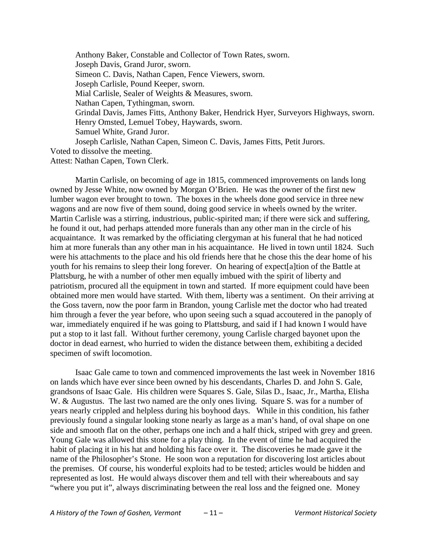Anthony Baker, Constable and Collector of Town Rates, sworn. Joseph Davis, Grand Juror, sworn. Simeon C. Davis, Nathan Capen, Fence Viewers, sworn. Joseph Carlisle, Pound Keeper, sworn. Mial Carlisle, Sealer of Weights & Measures, sworn. Nathan Capen, Tythingman, sworn. Grindal Davis, James Fitts, Anthony Baker, Hendrick Hyer, Surveyors Highways, sworn. Henry Omsted, Lemuel Tobey, Haywards, sworn. Samuel White, Grand Juror. Joseph Carlisle, Nathan Capen, Simeon C. Davis, James Fitts, Petit Jurors. Voted to dissolve the meeting.

Attest: Nathan Capen, Town Clerk.

Martin Carlisle, on becoming of age in 1815, commenced improvements on lands long owned by Jesse White, now owned by Morgan O'Brien. He was the owner of the first new lumber wagon ever brought to town. The boxes in the wheels done good service in three new wagons and are now five of them sound, doing good service in wheels owned by the writer. Martin Carlisle was a stirring, industrious, public-spirited man; if there were sick and suffering, he found it out, had perhaps attended more funerals than any other man in the circle of his acquaintance. It was remarked by the officiating clergyman at his funeral that he had noticed him at more funerals than any other man in his acquaintance. He lived in town until 1824. Such were his attachments to the place and his old friends here that he chose this the dear home of his youth for his remains to sleep their long forever. On hearing of expect[a]tion of the Battle at Plattsburg, he with a number of other men equally imbued with the spirit of liberty and patriotism, procured all the equipment in town and started. If more equipment could have been obtained more men would have started. With them, liberty was a sentiment. On their arriving at the Goss tavern, now the poor farm in Brandon, young Carlisle met the doctor who had treated him through a fever the year before, who upon seeing such a squad accoutered in the panoply of war, immediately enquired if he was going to Plattsburg, and said if I had known I would have put a stop to it last fall. Without further ceremony, young Carlisle charged bayonet upon the doctor in dead earnest, who hurried to widen the distance between them, exhibiting a decided specimen of swift locomotion.

Isaac Gale came to town and commenced improvements the last week in November 1816 on lands which have ever since been owned by his descendants, Charles D. and John S. Gale, grandsons of Isaac Gale. His children were Squares S. Gale, Silas D., Isaac, Jr., Martha, Elisha W. & Augustus. The last two named are the only ones living. Square S. was for a number of years nearly crippled and helpless during his boyhood days. While in this condition, his father previously found a singular looking stone nearly as large as a man's hand, of oval shape on one side and smooth flat on the other, perhaps one inch and a half thick, striped with grey and green. Young Gale was allowed this stone for a play thing. In the event of time he had acquired the habit of placing it in his hat and holding his face over it. The discoveries he made gave it the name of the Philosopher's Stone. He soon won a reputation for discovering lost articles about the premises. Of course, his wonderful exploits had to be tested; articles would be hidden and represented as lost. He would always discover them and tell with their whereabouts and say "where you put it", always discriminating between the real loss and the feigned one. Money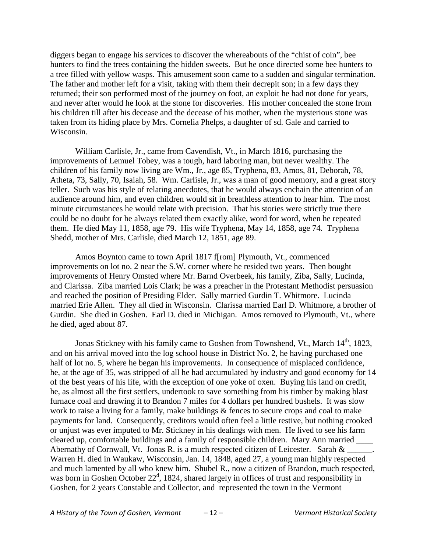diggers began to engage his services to discover the whereabouts of the "chist of coin", bee hunters to find the trees containing the hidden sweets. But he once directed some bee hunters to a tree filled with yellow wasps. This amusement soon came to a sudden and singular termination. The father and mother left for a visit, taking with them their decrepit son; in a few days they returned; their son performed most of the journey on foot, an exploit he had not done for years, and never after would he look at the stone for discoveries. His mother concealed the stone from his children till after his decease and the decease of his mother, when the mysterious stone was taken from its hiding place by Mrs. Cornelia Phelps, a daughter of sd. Gale and carried to Wisconsin.

William Carlisle, Jr., came from Cavendish, Vt., in March 1816, purchasing the improvements of Lemuel Tobey, was a tough, hard laboring man, but never wealthy. The children of his family now living are Wm., Jr., age 85, Tryphena, 83, Amos, 81, Deborah, 78, Atheta, 73, Sally, 70, Isaiah, 58. Wm. Carlisle, Jr., was a man of good memory, and a great story teller. Such was his style of relating anecdotes, that he would always enchain the attention of an audience around him, and even children would sit in breathless attention to hear him. The most minute circumstances he would relate with precision. That his stories were strictly true there could be no doubt for he always related them exactly alike, word for word, when he repeated them. He died May 11, 1858, age 79. His wife Tryphena, May 14, 1858, age 74. Tryphena Shedd, mother of Mrs. Carlisle, died March 12, 1851, age 89.

Amos Boynton came to town April 1817 f[rom] Plymouth, Vt., commenced improvements on lot no. 2 near the S.W. corner where he resided two years. Then bought improvements of Henry Omsted where Mr. Barnd Overbeek, his family, Ziba, Sally, Lucinda, and Clarissa. Ziba married Lois Clark; he was a preacher in the Protestant Methodist persuasion and reached the position of Presiding Elder. Sally married Gurdin T. Whitmore. Lucinda married Erie Allen. They all died in Wisconsin. Clarissa married Earl D. Whitmore, a brother of Gurdin. She died in Goshen. Earl D. died in Michigan. Amos removed to Plymouth, Vt., where he died, aged about 87.

Jonas Stickney with his family came to Goshen from Townshend, Vt., March 14<sup>th</sup>, 1823, and on his arrival moved into the log school house in District No. 2, he having purchased one half of lot no. 5, where he began his improvements. In consequence of misplaced confidence, he, at the age of 35, was stripped of all he had accumulated by industry and good economy for 14 of the best years of his life, with the exception of one yoke of oxen. Buying his land on credit, he, as almost all the first settlers, undertook to save something from his timber by making blast furnace coal and drawing it to Brandon 7 miles for 4 dollars per hundred bushels. It was slow work to raise a living for a family, make buildings & fences to secure crops and coal to make payments for land. Consequently, creditors would often feel a little restive, but nothing crooked or unjust was ever imputed to Mr. Stickney in his dealings with men. He lived to see his farm cleared up, comfortable buildings and a family of responsible children. Mary Ann married \_\_\_\_ Abernathy of Cornwall, Vt. Jonas R. is a much respected citizen of Leicester. Sarah  $\&$ Warren H. died in Waukaw, Wisconsin, Jan. 14, 1848, aged 27, a young man highly respected and much lamented by all who knew him. Shubel R., now a citizen of Brandon, much respected, was born in Goshen October  $22<sup>d</sup>$ , 1824, shared largely in offices of trust and responsibility in Goshen, for 2 years Constable and Collector, and represented the town in the Vermont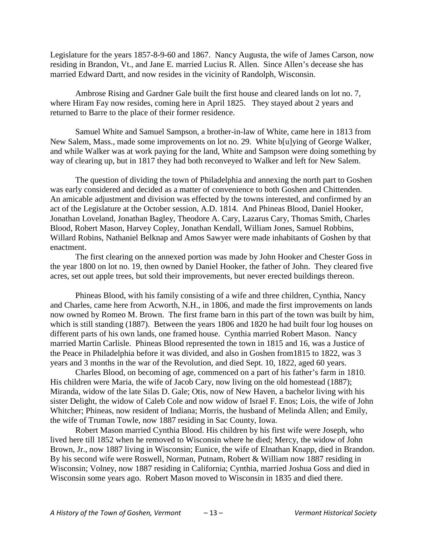Legislature for the years 1857-8-9-60 and 1867. Nancy Augusta, the wife of James Carson, now residing in Brandon, Vt., and Jane E. married Lucius R. Allen. Since Allen's decease she has married Edward Dartt, and now resides in the vicinity of Randolph, Wisconsin.

Ambrose Rising and Gardner Gale built the first house and cleared lands on lot no. 7, where Hiram Fay now resides, coming here in April 1825. They stayed about 2 years and returned to Barre to the place of their former residence.

Samuel White and Samuel Sampson, a brother-in-law of White, came here in 1813 from New Salem, Mass., made some improvements on lot no. 29. White b[u]ying of George Walker, and while Walker was at work paying for the land, White and Sampson were doing something by way of clearing up, but in 1817 they had both reconveyed to Walker and left for New Salem.

The question of dividing the town of Philadelphia and annexing the north part to Goshen was early considered and decided as a matter of convenience to both Goshen and Chittenden. An amicable adjustment and division was effected by the towns interested, and confirmed by an act of the Legislature at the October session, A.D. 1814. And Phineas Blood, Daniel Hooker, Jonathan Loveland, Jonathan Bagley, Theodore A. Cary, Lazarus Cary, Thomas Smith, Charles Blood, Robert Mason, Harvey Copley, Jonathan Kendall, William Jones, Samuel Robbins, Willard Robins, Nathaniel Belknap and Amos Sawyer were made inhabitants of Goshen by that enactment.

The first clearing on the annexed portion was made by John Hooker and Chester Goss in the year 1800 on lot no. 19, then owned by Daniel Hooker, the father of John. They cleared five acres, set out apple trees, but sold their improvements, but never erected buildings thereon.

Phineas Blood, with his family consisting of a wife and three children, Cynthia, Nancy and Charles, came here from Acworth, N.H., in 1806, and made the first improvements on lands now owned by Romeo M. Brown. The first frame barn in this part of the town was built by him, which is still standing (1887). Between the years 1806 and 1820 he had built four log houses on different parts of his own lands, one framed house. Cynthia married Robert Mason. Nancy married Martin Carlisle. Phineas Blood represented the town in 1815 and 16, was a Justice of the Peace in Philadelphia before it was divided, and also in Goshen from1815 to 1822, was 3 years and 3 months in the war of the Revolution, and died Sept. 10, 1822, aged 60 years.

Charles Blood, on becoming of age, commenced on a part of his father's farm in 1810. His children were Maria, the wife of Jacob Cary, now living on the old homestead (1887); Miranda, widow of the late Silas D. Gale; Otis, now of New Haven, a bachelor living with his sister Delight, the widow of Caleb Cole and now widow of Israel F. Enos; Lois, the wife of John Whitcher; Phineas, now resident of Indiana; Morris, the husband of Melinda Allen; and Emily, the wife of Truman Towle, now 1887 residing in Sac County, Iowa.

Robert Mason married Cynthia Blood. His children by his first wife were Joseph, who lived here till 1852 when he removed to Wisconsin where he died; Mercy, the widow of John Brown, Jr., now 1887 living in Wisconsin; Eunice, the wife of Elnathan Knapp, died in Brandon. By his second wife were Roswell, Norman, Putnam, Robert & William now 1887 residing in Wisconsin; Volney, now 1887 residing in California; Cynthia, married Joshua Goss and died in Wisconsin some years ago. Robert Mason moved to Wisconsin in 1835 and died there.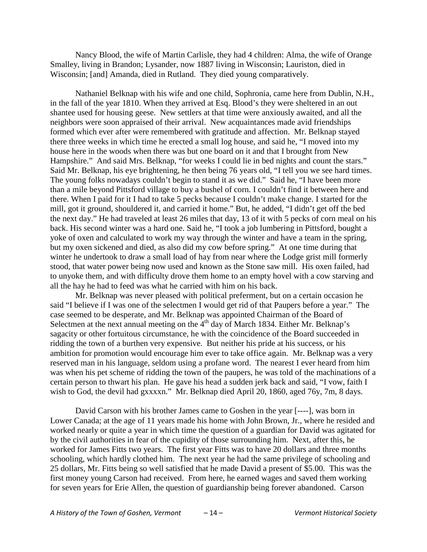Nancy Blood, the wife of Martin Carlisle, they had 4 children: Alma, the wife of Orange Smalley, living in Brandon; Lysander, now 1887 living in Wisconsin; Lauriston, died in Wisconsin; [and] Amanda, died in Rutland. They died young comparatively.

Nathaniel Belknap with his wife and one child, Sophronia, came here from Dublin, N.H., in the fall of the year 1810. When they arrived at Esq. Blood's they were sheltered in an out shantee used for housing geese. New settlers at that time were anxiously awaited, and all the neighbors were soon appraised of their arrival. New acquaintances made avid friendships formed which ever after were remembered with gratitude and affection. Mr. Belknap stayed there three weeks in which time he erected a small log house, and said he, "I moved into my house here in the woods when there was but one board on it and that I brought from New Hampshire." And said Mrs. Belknap, "for weeks I could lie in bed nights and count the stars." Said Mr. Belknap, his eye brightening, he then being 76 years old, "I tell you we see hard times. The young folks nowadays couldn't begin to stand it as we did." Said he, "I have been more than a mile beyond Pittsford village to buy a bushel of corn. I couldn't find it between here and there. When I paid for it I had to take 5 pecks because I couldn't make change. I started for the mill, got it ground, shouldered it, and carried it home." But, he added, "I didn't get off the bed the next day." He had traveled at least 26 miles that day, 13 of it with 5 pecks of corn meal on his back. His second winter was a hard one. Said he, "I took a job lumbering in Pittsford, bought a yoke of oxen and calculated to work my way through the winter and have a team in the spring, but my oxen sickened and died, as also did my cow before spring." At one time during that winter he undertook to draw a small load of hay from near where the Lodge grist mill formerly stood, that water power being now used and known as the Stone saw mill. His oxen failed, had to unyoke them, and with difficulty drove them home to an empty hovel with a cow starving and all the hay he had to feed was what he carried with him on his back.

Mr. Belknap was never pleased with political preferment, but on a certain occasion he said "I believe if I was one of the selectmen I would get rid of that Paupers before a year." The case seemed to be desperate, and Mr. Belknap was appointed Chairman of the Board of Selectmen at the next annual meeting on the  $4<sup>th</sup>$  day of March 1834. Either Mr. Belknap's sagacity or other fortuitous circumstance, he with the coincidence of the Board succeeded in ridding the town of a burthen very expensive. But neither his pride at his success, or his ambition for promotion would encourage him ever to take office again. Mr. Belknap was a very reserved man in his language, seldom using a profane word. The nearest I ever heard from him was when his pet scheme of ridding the town of the paupers, he was told of the machinations of a certain person to thwart his plan. He gave his head a sudden jerk back and said, "I vow, faith I wish to God, the devil had gxxxxn." Mr. Belknap died April 20, 1860, aged 76y, 7m, 8 days.

David Carson with his brother James came to Goshen in the year [----], was born in Lower Canada; at the age of 11 years made his home with John Brown, Jr., where he resided and worked nearly or quite a year in which time the question of a guardian for David was agitated for by the civil authorities in fear of the cupidity of those surrounding him. Next, after this, he worked for James Fitts two years. The first year Fitts was to have 20 dollars and three months schooling, which hardly clothed him. The next year he had the same privilege of schooling and 25 dollars, Mr. Fitts being so well satisfied that he made David a present of \$5.00. This was the first money young Carson had received. From here, he earned wages and saved them working for seven years for Erie Allen, the question of guardianship being forever abandoned. Carson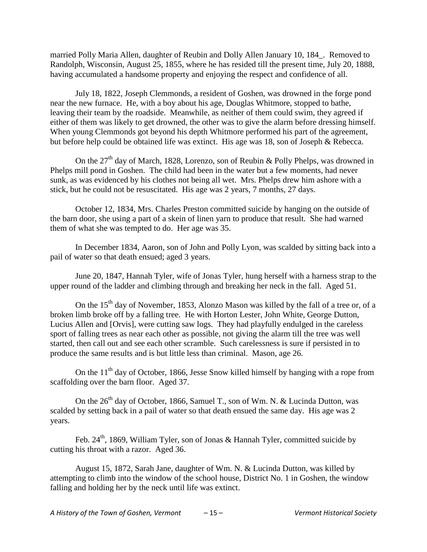married Polly Maria Allen, daughter of Reubin and Dolly Allen January 10, 184\_. Removed to Randolph, Wisconsin, August 25, 1855, where he has resided till the present time, July 20, 1888, having accumulated a handsome property and enjoying the respect and confidence of all.

July 18, 1822, Joseph Clemmonds, a resident of Goshen, was drowned in the forge pond near the new furnace. He, with a boy about his age, Douglas Whitmore, stopped to bathe, leaving their team by the roadside. Meanwhile, as neither of them could swim, they agreed if either of them was likely to get drowned, the other was to give the alarm before dressing himself. When young Clemmonds got beyond his depth Whitmore performed his part of the agreement, but before help could be obtained life was extinct. His age was 18, son of Joseph & Rebecca.

On the  $27<sup>th</sup>$  day of March, 1828, Lorenzo, son of Reubin & Polly Phelps, was drowned in Phelps mill pond in Goshen. The child had been in the water but a few moments, had never sunk, as was evidenced by his clothes not being all wet. Mrs. Phelps drew him ashore with a stick, but he could not be resuscitated. His age was 2 years, 7 months, 27 days.

October 12, 1834, Mrs. Charles Preston committed suicide by hanging on the outside of the barn door, she using a part of a skein of linen yarn to produce that result. She had warned them of what she was tempted to do. Her age was 35.

In December 1834, Aaron, son of John and Polly Lyon, was scalded by sitting back into a pail of water so that death ensued; aged 3 years.

June 20, 1847, Hannah Tyler, wife of Jonas Tyler, hung herself with a harness strap to the upper round of the ladder and climbing through and breaking her neck in the fall. Aged 51.

On the  $15<sup>th</sup>$  day of November, 1853, Alonzo Mason was killed by the fall of a tree or, of a broken limb broke off by a falling tree. He with Horton Lester, John White, George Dutton, Lucius Allen and [Orvis], were cutting saw logs. They had playfully endulged in the careless sport of falling trees as near each other as possible, not giving the alarm till the tree was well started, then call out and see each other scramble. Such carelessness is sure if persisted in to produce the same results and is but little less than criminal. Mason, age 26.

On the  $11<sup>th</sup>$  day of October, 1866, Jesse Snow killed himself by hanging with a rope from scaffolding over the barn floor. Aged 37.

On the  $26<sup>th</sup>$  day of October, 1866, Samuel T., son of Wm. N. & Lucinda Dutton, was scalded by setting back in a pail of water so that death ensued the same day. His age was 2 years.

Feb.  $24<sup>th</sup>$ , 1869, William Tyler, son of Jonas & Hannah Tyler, committed suicide by cutting his throat with a razor. Aged 36.

August 15, 1872, Sarah Jane, daughter of Wm. N. & Lucinda Dutton, was killed by attempting to climb into the window of the school house, District No. 1 in Goshen, the window falling and holding her by the neck until life was extinct.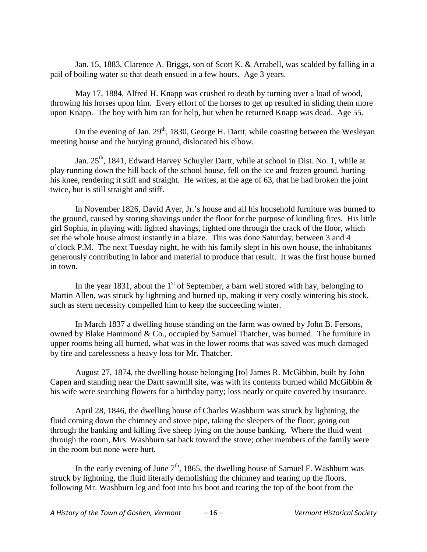Jan. 15, 1883, Clarence A. Briggs, son of Scott K. & Arrabell, was scalded by falling in a pail of boiling water so that death ensued in a few hours. Age 3 years.

May 17, 1884, Alfred H. Knapp was crushed to death by turning over a load of wood, throwing his horses upon him. Every effort of the horses to get up resulted in sliding them more upon Knapp. The boy with him ran for help, but when he returned Knapp was dead. Age 55.

On the evening of Jan. 29<sup>th</sup>, 1830, George H. Dartt, while coasting between the Wesleyan meeting house and the burying ground, dislocated his elbow.

Jan. 25<sup>th</sup>, 1841, Edward Harvey Schuyler Dartt, while at school in Dist. No. 1, while at play running down the hill back of the school house, fell on the ice and frozen ground, hurting his knee, rendering it stiff and straight. He writes, at the age of 63, that he had broken the joint twice, but is still straight and stiff.

In November 1826, David Ayer, Jr.'s house and all his household furniture was burned to the ground, caused by storing shavings under the floor for the purpose of kindling fires. His little girl Sophia, in playing with lighted shavings, lighted one through the crack of the floor, which set the whole house almost instantly in a blaze. This was done Saturday, between 3 and 4 o'clock P.M. The next Tuesday night, he with his family slept in his own house, the inhabitants generously contributing in labor and material to produce that result. It was the first house burned in town.

In the year 1831, about the  $1<sup>st</sup>$  of September, a barn well stored with hay, belonging to Martin Allen, was struck by lightning and burned up, making it very costly wintering his stock, such as stern necessity compelled him to keep the succeeding winter.

In March 1837 a dwelling house standing on the farm was owned by John B. Fersons, owned by Blake Hammond & Co., occupied by Samuel Thatcher, was burned. The furniture in upper rooms being all burned, what was in the lower rooms that was saved was much damaged by fire and carelessness a heavy loss for Mr. Thatcher.

August 27, 1874, the dwelling house belonging [to] James R. McGibbin, built by John Capen and standing near the Dartt sawmill site, was with its contents burned whild McGibbin & his wife were searching flowers for a birthday party; loss nearly or quite covered by insurance.

April 28, 1846, the dwelling house of Charles Washburn was struck by lightning, the fluid coming down the chimney and stove pipe, taking the sleepers of the floor, going out through the banking and killing five sheep lying on the house banking. Where the fluid went through the room, Mrs. Washburn sat back toward the stove; other members of the family were in the room but none were hurt.

In the early evening of June  $7<sup>th</sup>$ , 1865, the dwelling house of Samuel F. Washburn was struck by lightning, the fluid literally demolishing the chimney and tearing up the floors, following Mr. Washburn leg and foot into his boot and tearing the top of the boot from the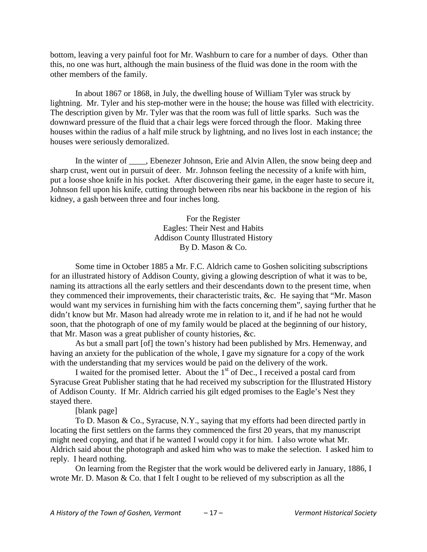bottom, leaving a very painful foot for Mr. Washburn to care for a number of days. Other than this, no one was hurt, although the main business of the fluid was done in the room with the other members of the family.

In about 1867 or 1868, in July, the dwelling house of William Tyler was struck by lightning. Mr. Tyler and his step-mother were in the house; the house was filled with electricity. The description given by Mr. Tyler was that the room was full of little sparks. Such was the downward pressure of the fluid that a chair legs were forced through the floor. Making three houses within the radius of a half mile struck by lightning, and no lives lost in each instance; the houses were seriously demoralized.

In the winter of \_\_\_\_, Ebenezer Johnson, Erie and Alvin Allen, the snow being deep and sharp crust, went out in pursuit of deer. Mr. Johnson feeling the necessity of a knife with him, put a loose shoe knife in his pocket. After discovering their game, in the eager haste to secure it, Johnson fell upon his knife, cutting through between ribs near his backbone in the region of his kidney, a gash between three and four inches long.

> For the Register Eagles: Their Nest and Habits Addison County Illustrated History By D. Mason & Co.

Some time in October 1885 a Mr. F.C. Aldrich came to Goshen soliciting subscriptions for an illustrated history of Addison County, giving a glowing description of what it was to be, naming its attractions all the early settlers and their descendants down to the present time, when they commenced their improvements, their characteristic traits, &c. He saying that "Mr. Mason would want my services in furnishing him with the facts concerning them", saying further that he didn't know but Mr. Mason had already wrote me in relation to it, and if he had not he would soon, that the photograph of one of my family would be placed at the beginning of our history, that Mr. Mason was a great publisher of county histories, &c.

As but a small part [of] the town's history had been published by Mrs. Hemenway, and having an anxiety for the publication of the whole, I gave my signature for a copy of the work with the understanding that my services would be paid on the delivery of the work.

I waited for the promised letter. About the  $1<sup>st</sup>$  of Dec., I received a postal card from Syracuse Great Publisher stating that he had received my subscription for the Illustrated History of Addison County. If Mr. Aldrich carried his gilt edged promises to the Eagle's Nest they stayed there.

[blank page]

To D. Mason & Co., Syracuse, N.Y., saying that my efforts had been directed partly in locating the first settlers on the farms they commenced the first 20 years, that my manuscript might need copying, and that if he wanted I would copy it for him. I also wrote what Mr. Aldrich said about the photograph and asked him who was to make the selection. I asked him to reply. I heard nothing.

On learning from the Register that the work would be delivered early in January, 1886, I wrote Mr. D. Mason & Co. that I felt I ought to be relieved of my subscription as all the